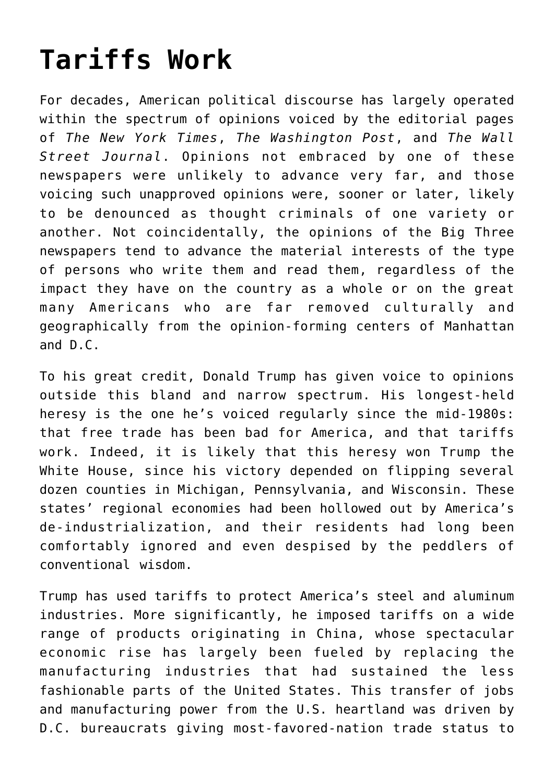## **[Tariffs Work](https://intellectualtakeout.org/2020/03/tariffs-work/)**

For decades, American political discourse has largely operated within the spectrum of opinions voiced by the editorial pages of *The New York Times*, *The Washington Post*, and *The Wall Street Journal*. Opinions not embraced by one of these newspapers were unlikely to advance very far, and those voicing such unapproved opinions were, sooner or later, likely to be denounced as thought criminals of one variety or another. Not coincidentally, the opinions of the Big Three newspapers tend to advance the material interests of the type of persons who write them and read them, regardless of the impact they have on the country as a whole or on the great many Americans who are far removed culturally and geographically from the opinion-forming centers of Manhattan and D.C.

To his great credit, Donald Trump has given voice to opinions outside this bland and narrow spectrum. His longest-held heresy is the one he's voiced regularly since the mid-1980s: that free trade has been bad for America, and that tariffs work. Indeed, it is likely that this heresy won Trump the White House, since his victory depended on flipping several dozen counties in Michigan, Pennsylvania, and Wisconsin. These states' regional economies had been hollowed out by America's de-industrialization, and their residents had long been comfortably ignored and even despised by the peddlers of conventional wisdom.

Trump has used tariffs to protect America's steel and aluminum industries. More significantly, he imposed tariffs on a wide range of products originating in China, whose spectacular economic rise has largely been fueled by replacing the manufacturing industries that had sustained the less fashionable parts of the United States. This transfer of jobs and manufacturing power from the U.S. heartland was driven by D.C. bureaucrats giving most-favored-nation trade status to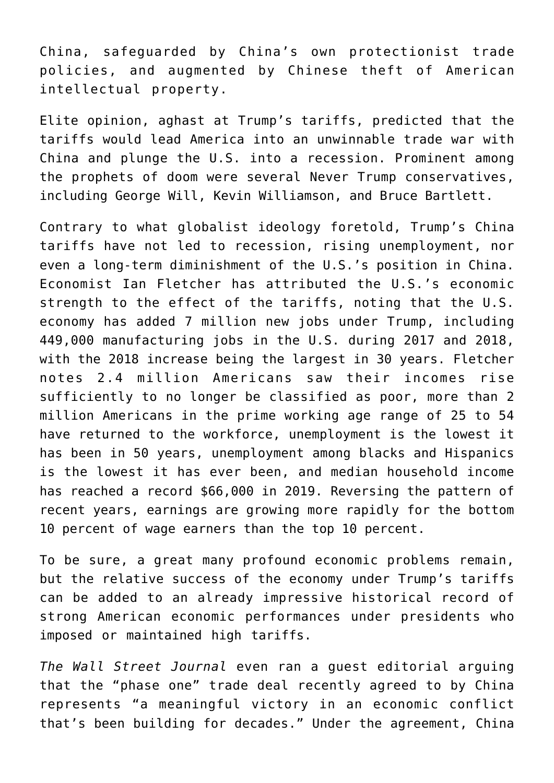China, safeguarded by China's own protectionist trade policies, and augmented by Chinese theft of American intellectual property.

Elite opinion, aghast at Trump's tariffs, predicted that the tariffs would lead America into an unwinnable trade war with China and plunge the U.S. into a recession. Prominent among the prophets of doom were several Never Trump conservatives, including George Will, Kevin Williamson, and Bruce Bartlett.

Contrary to what globalist ideology foretold, Trump's China tariffs have not led to recession, rising unemployment, nor even a long-term diminishment of the U.S.'s position in China. Economist Ian Fletcher has attributed the U.S.'s economic strength to the effect of the tariffs, noting that the U.S. economy has added 7 million new jobs under Trump, including 449,000 manufacturing jobs in the U.S. during 2017 and 2018, with the 2018 increase being the largest in 30 years. Fletcher notes 2.4 million Americans saw their incomes rise sufficiently to no longer be classified as poor, more than 2 million Americans in the prime working age range of 25 to 54 have returned to the workforce, unemployment is the lowest it has been in 50 years, unemployment among blacks and Hispanics is the lowest it has ever been, and median household income has reached a record \$66,000 in 2019. Reversing the pattern of recent years, earnings are growing more rapidly for the bottom 10 percent of wage earners than the top 10 percent.

To be sure, a great many profound economic problems remain, but the relative success of the economy under Trump's tariffs can be added to an already impressive historical record of strong American economic performances under presidents who imposed or maintained high tariffs.

*The Wall Street Journal* even ran a guest editorial arguing that the "phase one" trade deal recently agreed to by China represents "a meaningful victory in an economic conflict that's been building for decades." Under the agreement, China